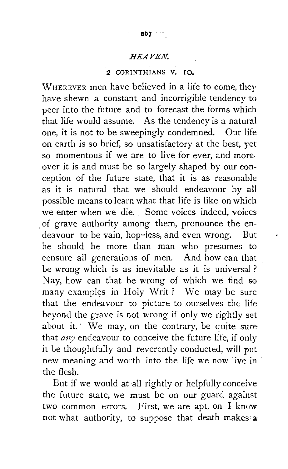# 2 CORINTHIANS V, IO.

WHEREVER men have believed in a life to come, they have shewn a constant and incorrigible tendency to peer into the future and to forecast the forms which that life would assume. As the tendency is a natural one, it is not to be sweepingly condemned. Our life on earth is so brief, so unsatisfactory at the best, yet so momentous if we are to live for ever, and moreover it is and must be so largely shaped by our conception of the future state, that it is as reasonable as it is natural that we should endeavour by all possible means to learn what that life is like on which we enter when we die. Some voices indeed, voices . of grave authority among them, pronounce the endeavour to be vain, hop~less, and even wrong. But he should be more than man who presumes to censure all generations of men. And how can that be wrong which is as inevitable as it is universal? Nay, how can that be wrong of which we find so many examples in Holy Writ? We may be sure that the endeavour to picture to ourselves the life beyond the grave is not wrong if only we rightly set about it. We may, on the contrary, be quite sure that *any* endeavour to conceive the future life, if only it be thoughtfully and reverently conducted, will put new meaning and worth into the life we now live in the flesh.

But if we would at all rightly or helpfully conceive the future state, we must be on our guard against two common errors. First, we are apt, on I know not what authority, to suppose that death makes a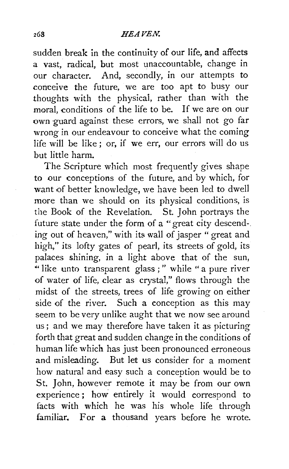sudden break in the continuity of our life, and affects a vast, radical, but most unaccountable, change in our character. And, secondly, in our attempts to conceive the future, we are too apt to busy our thoughts with the physical, rather than with the moral, conditions of the life to be. If we are on our own guard against these errors, we shall not go far wrong in our endeavour to conceive what the coming life will be like ; or, if we err, our errors will do us but little harm.

The Scripture which most frequently gives shape to our conceptions of the future, and by which, for want of better knowledge, we have been led to dwell more than we should on its physical conditions, is the Book of the Revelation. St. John portrays the future state under the form of a "great city descend-. ing out of heaven," with its wall of jasper "great and high," *its* lofty gates of pearl, its streets of gold, its palaces shining, *in* a light above that of the sun, •• like unto transparent glass ; " while " a pure river of water of life, clear as crystal," flows through the midst of the streets, trees of life growing on either side of the river. Such a conception as this may seem to be very unlike aught that we now see around us; and we may therefore have taken it as picturing forth that great and sudden change in the conditions of human life which has just been pronounced erroneous and misleading. But let us consider for a moment how natural and easy such a conception would be to St. John, however remote it may be from our own experience ; how entirely it would correspond to facts with which he was his whole life through familiar. For a thousand years before he wrote.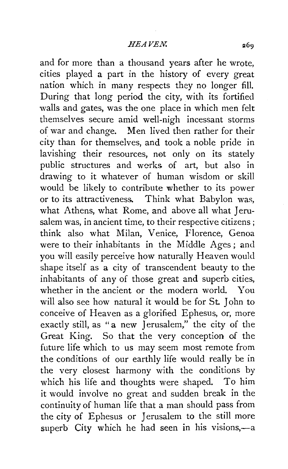and for more than a thousand years after he wrote, cities played a part in the history of every great nation which in many respects they no longer fill. During that long period the city, with its fortified walls and gates, was the one place in which men felt themselves secure amid well-nigh incessant storms of war and change. Men lived then rather for their city than for themselves, and took a noble pride in lavishing their resources, not only on its stately public structures and works of art, but also in drawing to it whatever of human wisdom or skill would be likely to contribute whether to its power or to its attractiveness. Think what Babylon was, what Athens, what Rome, and above all what Jerusalem was, in ancient time, to their respective citizens ; think also what Milan, Venice, Florence, Genoa were to their inhabitants in the Middle Ages; and you will easily perceive how naturally Heaven would shape itself as a city of transcendent beauty to the inhabitants of any of those great and superb cities, whether in the ancient or the modern world. You will also see how natural it would be for St. John to conceive of Heaven as a glorified Ephesus, or, more exactly still, as "a new Jerusalem," the city 0f the Great King. So that the very conception of the future life which to us may seem most remote from the conditions of our earthly life would really be in the very closest harmony with the conditions by which his life and thoughts were shaped. To him it would involve no great and sudden break in the continuity of human life that a man should pass from the city of Ephesus or Jerusalem to the still more superb City which he had seen in his visions,-a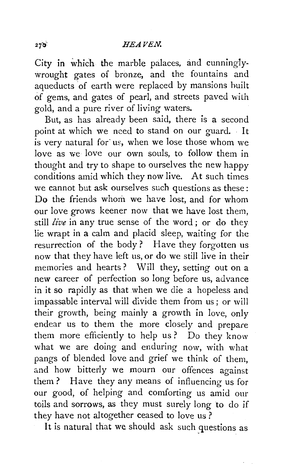City in which the marble palaces, and cunninglywrought gates of bronze, and the fountains and aqueducts of earth were replaced by mansions built of gems, and gates of pearl, and streets paved wilh gold, and a pure river of living waters.

But, as has already been said, there is a second point at which we need to stand on our guard. It  $\overline{\mathbf{i}}$  is very natural for us, when we lose those whom we love as we love our own souls, to follow them in thought and try to shape to ourselves the new happy conditions amid which they now live. At such times we cannot but ask ourselves such questions as these: Do the friends whom we have lost, and for whom our love grows keener now that we have lost them, still *live* in any true sense of the word ; or do they lie wrapt in a calm and placid sleep, waiting for the resurrection of the body? Have they forgotten us now that they have left us, or do we still live in their memories and hearts ? Will they, setting out on a new career of perfection so long before us, advance in it so rapidly as that when we die a hopeless and impassable interval will divide them from us; or will their growth, being mainly a growth in love, only endear us to them the more closely and prepare them more efficiently to help us? Do they know what we are doing and enduring now, with what pangs of blended love and grief we think of them, and how bitterly we mourn our offences against them ? Have they any means of influencing us for our good, of helping and comforting us amid our toils and sorrows, as they must surely long to do if they have not altogether ceased to love us?

It is natural that we should ask such questions as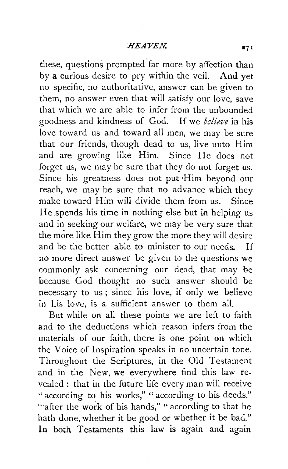these, questions prompted far more by affection than by a curious desire to pry within the veil. And yet no specific, no authoritative, answer can be given to them, no answer even that will satisfy our love, save that which we are able to infer from the unbounded goodness and kindness of God. If we *believe* in his love toward us and toward all men, we may be sure that our friends, though dead to us, live unto Him and are growing like Him. Since He does not forget us, we may be sure that they do not forget us. Since his greatness does not put •Him beyond our reach, we may be sure that no advance which they make toward Him will divide them from us. Since He spends his time in nothing else but in helping us and in seeking our welfare, we may be very sure that the more like Him they grow the more they will desire and be the better able to minister to our needs. If no more direct answer be given to the questions we commonly ask concerning our dead, that may be because God thought no such answer should be necessary to us; since his love, if only we believe in his love, is a sufficient answer to them alL

But while on all these points we are left to faith and to the deductions which reason infers from the materials of our faith, there is one point on which the Voice of Inspiration speaks in no uncertain tone. Throughout the Scriptures, in the Old Testament and in the New, we everywhere find this law revealed : that in the future life every man will receive " according to his works," " according to his deeds," " after the work of his hands," " according to that he bath done, whether it be good or whether it be bad." In both Testaments this law is again and again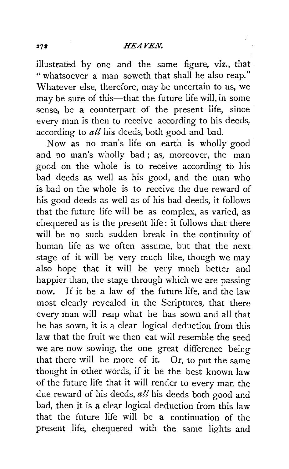illustrated by one and the same figure, viz., that "whatsoever a man soweth that shall he also reap." Whatever else, therefore, may be uncertain to us, we may be sure of this-that the future life will, in some sense, be a counterpart of the present life, since every man is then to receive according to his deeds: according to *all* his deeds, both good and bad.

Now as no man's life on earth is wholly good and no man's wholly bad; as, moreover, the man good on the whole is to receive according to his bad deeds as well as his good, and the man who is bad on the whole is to receive the due reward of his good deeds as well as of his bad deeds, it follows that the future life will be as complex, as varied, as chequered as is the present life: it follows that there will be no such sudden break in the continuity of human life as we often assume, but that the next stage of it will be very much like, though we may also hope that it will be very much better and happier than, the stage through which we are passing now. If it be a law of the future life, and the law most clearly revealed in the Scriptures, that there every man will reap what he has sown and all that he has sown, it is a clear logical deduction from this law that the fruit we then eat will resemble the seed we are now sowing, the one great difference being that there will be more of it. Or, to put the same thought in other words, if it be the best known law of the future life that it will render to every man the due reward of his deeds, *all* his deeds both good and bad, then it is a clear logical deduction from this law that the future life will be a continuation of the present life, chequered with the same lights and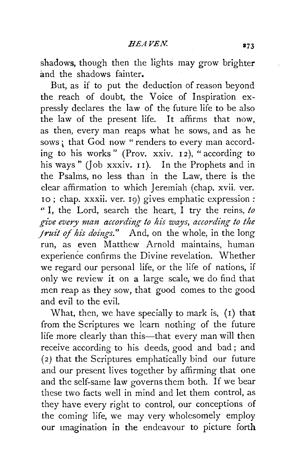shadows, though then the lights may grow brighter and the shadows fainter.

But, as if to put the deduction of reason beyond the reach of doubt, the Voice of Inspiration expressly declares the law of the future life to be also the law of the present life. It affirms that now, as then, every man reaps what he sows, and as he sows; that God now " renders to every man according to his works" (Prov. xxiv.  $12$ ), " according to his ways " (Job xxxiv. 11). In the Prophets and in the Psalms, no less than in the Law, there is the clear affirmation to which Jeremiah (chap. xvii. ver. 10; chap. xxxii. ver. 19) gives emphatic expression: " I, the Lord, search the heart, I try the reins, *to*  give every man according to his ways, according to the *jruit of his doings."* And, on the whole, in the long run, as even Matthew Arnold maintains, human experience confirms the Divine revelation. Whether we regard our personal life, or the life of nations, if only we review it on a large scale, we do find that men reap as they sow, that good comes to the good and evil to the evil.

What, then, we have specialiy to mark is, (I) that from the Scriptures we learn nothing of the future life more clearly than this-that every man will then receive according to his deeds, good and bad ; and *(2)* that the Scriptures emphatically bind our future and our present lives together by affirming that one and the self-same law governs them both. If we bear these two facts well in mind and let them control, as they have every right to control, our conceptions of the coming life, we may very wholesomely employ our Imagination in the endeavour to picture forth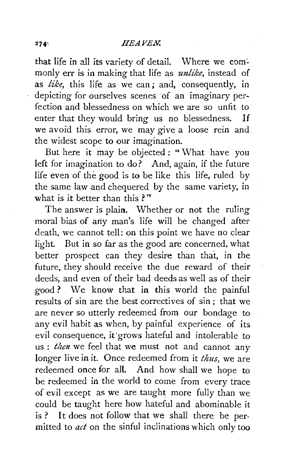that life in all its variety of detail. Where we commonly err is in making that life as *unlike,* instead of as *like*, this life as we can; and, consequently, in depicting for ourselves scenes of an imaginary perfection and blessedness on which we are so unfit to enter that they would bring us no blessedness. If we avoid this error, we may give a loose rein and the widest scope to our imagination.

But here it may be objected : "What have you left for imagination to do? And, again, if the future life even of the good is to be like this life, ruled by the same law and chequered by the same variety, in what is it better than this ?"

The answer is plain. Whether or not the ruling moral bias of any man's life will be changed after death, we cannot tell: on this point we have no clear light. But in so far as the good are concerned, what better prospect can they desire than that, in the future, they should receive the due reward of their deeds, and even of their bad deeds as well as of their good ? We know that in this world the painful results of sin are the best correctives of sin; that we are never so utterly redeemed from our bondage to any evil habit as when, by painful experience of its evil consequence, it·grows hateful and intolerable to us : then we feel that we must not and cannot any longer live in it. Once redeemed from it *thus,* we are redeemed once for all. And how shall we hope to be redeemed in the world to come from every trace of evil except as we are taught more fully than we could be taught here how hateful and abominable it is ? It does not follow that we shall there be permitted to *act* on the sinful inclinations which only too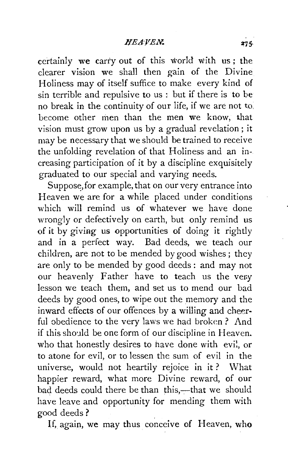certainly we carry out of this world with us ; the clearer vision we shall then gain of the Divine Holiness may of itself suffice to make every kind of sin terrible and repulsive to us : but if there is to be no break in the continuity of our life, if we are not to. become other men than the men we know, that vision must grow upon us by a gradual revelation; it may be necessary that we should be trained to receive the unfolding revelation of that Holiness and an increasing participation of it by a discipline exquisitely graduated to our special and varying needs.

Suppose, for example, that on our very entrance into Heaven we are for a while placed under conditions which will remind us of whatever we have done wrongly or defectively on earth, but only remind us of it by giving us opportunities of doing it rightly and in a perfect way. Bad deeds, we teach our children, are not to be mended by good wishes ; they are only to be mended by good deeds: and may not our heavenly Father have to teach us the very lesson we teach them, and set us to mend our bad deeds by good ones, to wipe out the memory and the inward effects of our offences by a willing and cheerful obedience to the very laws we had broken? And if this should be one form of our discipline in Heaven. who that honestly desires to have done with evil, or to atone for evil, or to lessen the sum of evil in the universe, would not heartily rejoice in it ? What happier reward, what more Divine reward, of our bad deeds could there be than this,---that we should have leave and opportunity for mending them with good deeds?

If, again, we may thus conceive of Heaven, who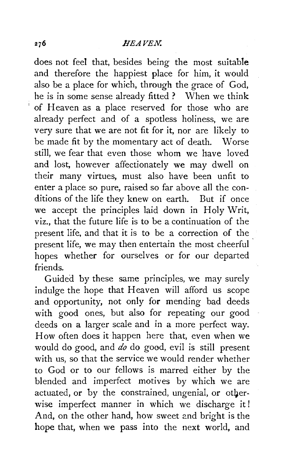does not feel that, besides being the most suitable and therefore the happiest place for him, it would also be a place for which, through the grace of God, he is in some sense already fitted ? When we think of Heaven as a place reserved for those who are already perfect and of a spotless holiness, we are very sure that we are not fit for it, nor are likely to be made fit by the momentary act of death. Worse still, we fear that even those whom we have loved and lost, however affectionately we may dwell on their many virtues, must also have been unfit to enter a place so pure, raised so far above all the conditions of the life they knew on earth. But if once we accept the principles laid down in Holy Writ, viz., that the future life is to be a continuation of the present life, and that it is to be a correction of the present life, we may then entertain the most cheerful hopes whether for ourselves or for our departed friends.

Guided by these same principles, we may surely indulge the hope that Heaven will afford us scope and opportunity, not only for mending bad deeds with good ones, but also for repeating our good deeds on a larger scale and in a more perfect way. How often does it happen here that, even when we would do good, and *do* do good, evil is still present with us, so that the service we would render whether to God or to our fellows is marred either by the blended and imperfect motives by which we are actuated, or by the constrained, ungenial, or otherwise imperfect manner in which we discharge it! And, on the other hand, how sweet and bright is the hope that, when we pass into the next world, and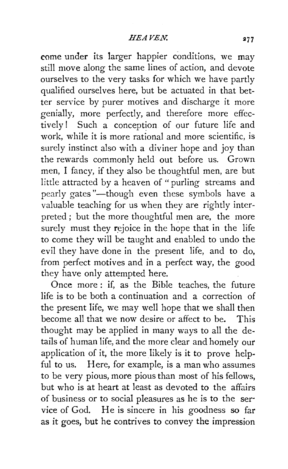come under its larger happier conditions, we may still move along the same lines of action, and devote ourselves to the very tasks for which we have partly qualified ourselves here, but be actuated in that better service by purer motives and discharge it more genially, more perfectly, and therefore more effectively! Such a conception of our future life and work, while it is more rational and more scientific, is surely instinct also with a diviner hope and joy than the rewards commonly held out before us. Grown men, I fancy, if they also be thoughtful men, are but little attracted by a heaven of "purling streams and pearly gates"-though even these symbols have a valuable teaching for us when they are rightly interpreted ; but the more thoughtful men are, the more surely must they rejoice in the hope that in the life to come they will be taught and enabled to undo the evil they have done in the present life, and to do, from perfect motives and in a perfect way, the good they have only attempted here.

Once more : if, as the Bible teaches, the future life is to be both a continuation and a correction of the present life, we may well hope that we shall then become all that we now desire or affect to be. This thought may be applied in many ways to all the details of human life, and the more clear and homely our application of it, the more likely is it to prove helpful to us. Here, for example, is a man who assumes to be very pious, more pious than most of his fellows, but who is at heart at least as devoted to the affairs of business or to social pleasures as he is to the ser· vice of God. He is sincere in his goodness so far as it goes, but he contrives to convey the impression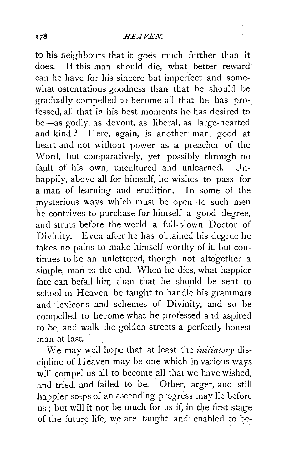to his neighbours that it goes much further than it does. If this man should die, what better reward can he have for his sincere but imperfect and somewhat ostentatious goodness than that he should be gradually compelled to become all that he has professed, all that in his best moments he has desired to be -as godly, as devout, as liberal, as large-hearted and kind? Here, again, is another man, good at heart and not without power as a preacher of the Word, but comparatively, yet possibly through no fault of his own, uncultured and unlearned. Unhappily, above all for himself, he wishes to pass for a man of learning and erudition. In some of the mysterious ways which must be open to such men he contrives to purchase for himself a good degree, and struts before the world a full-blown Doctor of Divinity. Even after he has obtained his degree he takes no pains to make himself worthy of it, but continues to be an unlettered, though not altogether a simple, man to the end. When he dies, what happier fate can befall him than that he should be sent to school in Heaven, be taught to handle his grammars and lexicons and schemes of Divinity, and so be compelled to become what he professed and aspired to be, and walk the golden streets a perfectly honest man at last.

We may well hope that at least the *initiatory* discipline of Heaven may be one which in various ways will compel us all to become all that we have wished, and tried, and failed to be. Other, larger, and still happier steps of an ascending progress may lie before us ; but will it not be much for us if, in the first stage of the future life, we are taught and enabled to be